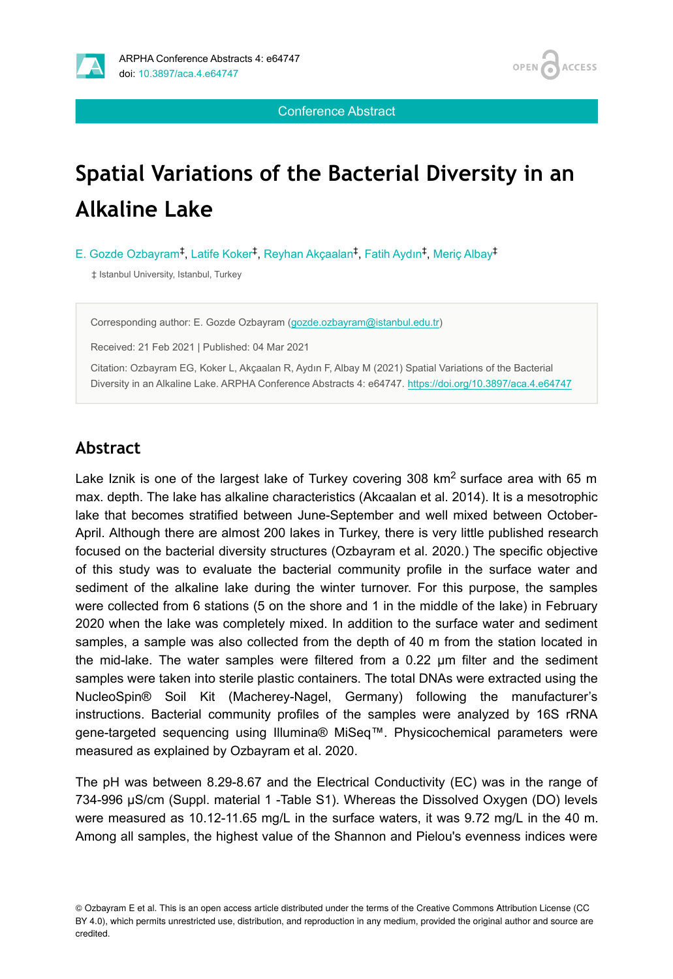

Conference Abstract

# **Spatial Variations of the Bacterial Diversity in an Alkaline Lake**

E. Gozde Ozbayram<sup>‡</sup>, Latife Koker<sup>‡</sup>, Reyhan Akçaalan<sup>‡</sup>, Fatih Aydın<sup>‡</sup>, Meriç Albay<sup>‡</sup>

‡ Istanbul University, Istanbul, Turkey

Corresponding author: E. Gozde Ozbayram [\(gozde.ozbayram@istanbul.edu.tr](mailto:gozde.ozbayram@istanbul.edu.tr))

Received: 21 Feb 2021 | Published: 04 Mar 2021

Citation: Ozbayram EG, Koker L, Akçaalan R, Aydın F, Albay M (2021) Spatial Variations of the Bacterial Diversity in an Alkaline Lake. ARPHA Conference Abstracts 4: e64747. <https://doi.org/10.3897/aca.4.e64747>

# **Abstract**

Lake Iznik is one of the largest lake of Turkey covering 308 km<sup>2</sup> surface area with 65 m max. depth. The lake has alkaline characteristics (Akcaalan et al. 2014). It is a mesotrophic lake that becomes stratified between June-September and well mixed between October-April. Although there are almost 200 lakes in Turkey, there is very little published research focused on the bacterial diversity structures (Ozbayram et al. 2020.) The specific objective of this study was to evaluate the bacterial community profile in the surface water and sediment of the alkaline lake during the winter turnover. For this purpose, the samples were collected from 6 stations (5 on the shore and 1 in the middle of the lake) in February 2020 when the lake was completely mixed. In addition to the surface water and sediment samples, a sample was also collected from the depth of 40 m from the station located in the mid-lake. The water samples were filtered from a 0.22 µm filter and the sediment samples were taken into sterile plastic containers. The total DNAs were extracted using the NucleoSpin® Soil Kit (Macherey-Nagel, Germany) following the manufacturer's instructions. Bacterial community profiles of the samples were analyzed by 16S rRNA gene-targeted sequencing using Illumina® MiSeq™. Physicochemical parameters were measured as explained by Ozbayram et al. 2020.

The pH was between 8.29-8.67 and the Electrical Conductivity (EC) was in the range of 734-996 µS/cm (Suppl. material 1 -Table S1). Whereas the Dissolved Oxygen (DO) levels were measured as 10.12-11.65 mg/L in the surface waters, it was 9.72 mg/L in the 40 m. Among all samples, the highest value of the Shannon and Pielou's evenness indices were

<sup>©</sup> Ozbayram E et al. This is an open access article distributed under the terms of the Creative Commons Attribution License (CC BY 4.0), which permits unrestricted use, distribution, and reproduction in any medium, provided the original author and source are credited.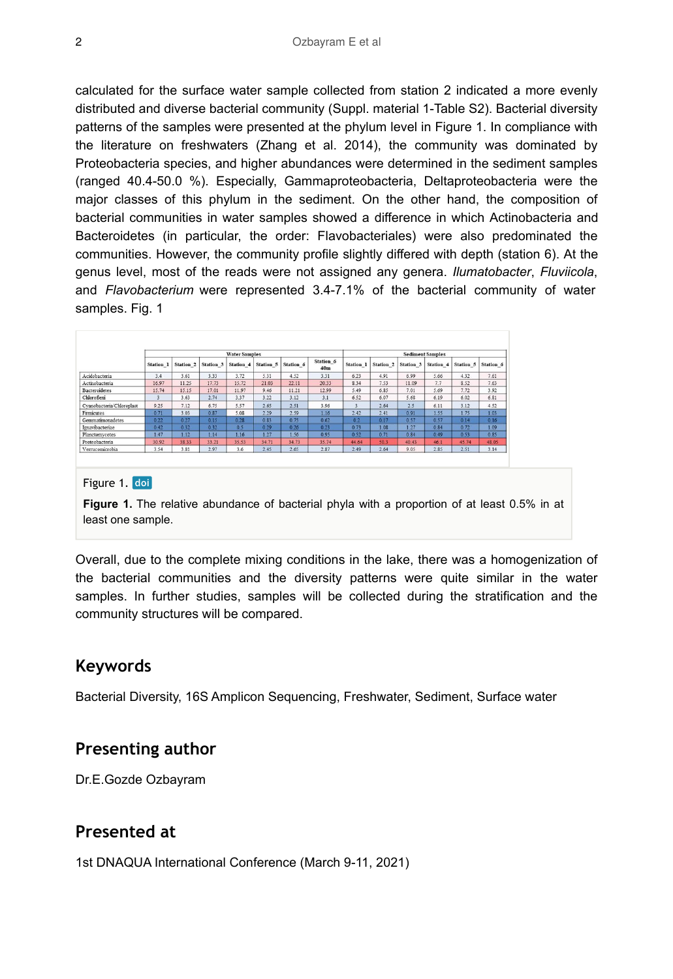calculated for the surface water sample collected from station 2 indicated a more evenly distributed and diverse bacterial community (Suppl. material 1-Table S2). Bacterial diversity patterns of the samples were presented at the phylum level in Figure 1. In compliance with the literature on freshwaters (Zhang et al. 2014), the community was dominated by Proteobacteria species, and higher abundances were determined in the sediment samples (ranged 40.4-50.0 %). Especially, Gammaproteobacteria, Deltaproteobacteria were the major classes of this phylum in the sediment. On the other hand, the composition of bacterial communities in water samples showed a difference in which Actinobacteria and Bacteroidetes (in particular, the order: Flavobacteriales) were also predominated the communities. However, the community profile slightly differed with depth (station 6). At the genus level, most of the reads were not assigned any genera. *Ilumatobacter*, *Fluviicola*, and *Flavobacterium* were represented 3.4-7.1% of the bacterial community of water samples. Fig. 1

|                           | <b>Water Samples</b> |           |           |           |           |           |                  | <b>Sediment Samples</b> |           |           |           |           |           |
|---------------------------|----------------------|-----------|-----------|-----------|-----------|-----------|------------------|-------------------------|-----------|-----------|-----------|-----------|-----------|
|                           | Station 1            | Station 2 | Station 3 | Station 4 | Station 5 | Station 6 | Station 6<br>40m | Station 1               | Station 2 | Station 3 | Station 4 | Station 5 | Station 6 |
| Acidobacteria             | 3.4                  | 3.61      | 3.33      | 3.72      | 5.31      | 4.52      | 3.31             | 6.23                    | 4.91      | 6.99      | 5.66      | 4.32      | 7.61      |
| Actinobacteria            | 16.97                | 11.25     | 17.73     | 15.72     | 21.03     | 22.11     | 20 33            | 8.34                    | 7.53      | 11.09     | 7.7       | 8.52      | 7.63      |
| <b>Bacteroidetes</b>      | 15.74                | 15.15     | 17.01     | 11.97     | 9.46      | 11.21     | 12.99            | 5.49                    | 6.85      | 7.01      | 5.69      | 7.72      | 3.92      |
| Chloroflexi               |                      | 3.63      | 2.74      | 3.37      | 3.22      | 3.12      | 3.1              | 6.52                    | 6.07      | 5.68      | 6.19      | 6.02      | 6.81      |
| Cvanobacteria/Chloroplast | 9.25                 | 7.12      | 6.75      | 5.57      | 2.65      | 2.51      | 3.96             |                         | 2.64      | 2.5       | 6.11      | 3.12      | 4.52      |
| Firmicutes                | 0.71                 | 3.03      | 0.87      | 5.08      | 2.29      | 2.59      | 1.16             | 2.42                    | 2.41      | 0.91      | 1.55      | 1.75      | 1.03      |
| Gemmatimonadetes          | 0.22                 | 0.27      | 0.15      | 0.28      | 0.83      | 0.75      | 0.62             | 0.2                     | 0.17      | 0.57      | 0.57      | 0.14      | 0.16      |
| Ignavibacteriae           | 0.42                 | 0.32      | 0.32      | 0.5       | 0.29      | 0.26      | 0.23             | 0.73                    | 1.08      | 1.27      | 0.84      | 0.72      | 1.09      |
| Planctomycetes            | 1.47                 | 1.12      | 1.14      | 1.16      | 1.27      | 1.56      | 0.95             | 0.52                    | 0.71      | 0.84      | 0.49      | 0.53      | 0.85      |
| Proteobacteria            | 30.92                | 38.33     | 33.21     | 35.53     | 34.71     | 34.73     | 35.74            | 44.64                   | 50.3      | 40.43     | 46.1      | 45.74     | 48.05     |
| Verrucomicrobia           | 3.54                 | 3.81      | 2.97      | 3.6       | 2.45      | 2.65      | 2.87             | 2.49                    | 2.64      | 9.05      | 2.85      | 2.51      | 3.14      |

#### Figure 1. doi

**Figure 1.** The relative abundance of bacterial phyla with a proportion of at least 0.5% in at least one sample.

Overall, due to the complete mixing conditions in the lake, there was a homogenization of the bacterial communities and the diversity patterns were quite similar in the water samples. In further studies, samples will be collected during the stratification and the community structures will be compared.

#### **Keywords**

Bacterial Diversity, 16S Amplicon Sequencing, Freshwater, Sediment, Surface water

#### **Presenting author**

Dr.E.Gozde Ozbayram

#### **Presented at**

1st DNAQUA International Conference (March 9-11, 2021)